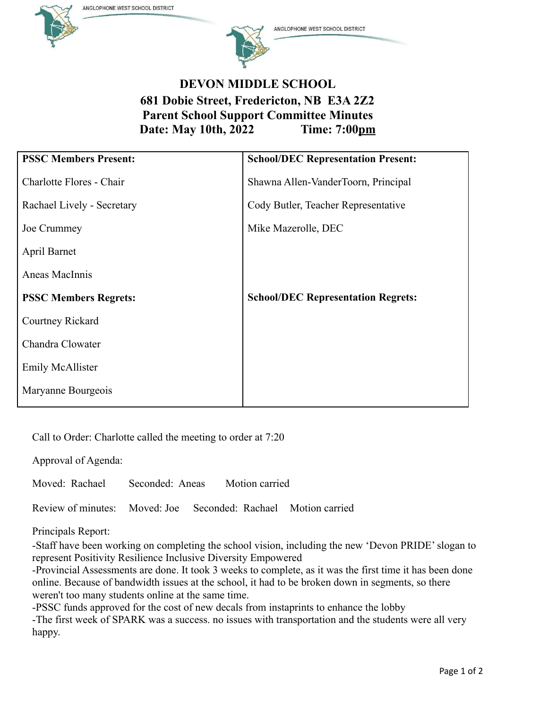ANGLOPHONE WEST SCHOOL DISTRICT





ANGLOPHONE WEST SCHOOL DISTRICT

## **DEVON MIDDLE SCHOOL 681 Dobie Street, Fredericton, NB E3A 2Z2 Parent School Support Committee Minutes Date: May 10th, 2022 Time: 7:00pm**

| <b>PSSC Members Present:</b> | <b>School/DEC Representation Present:</b> |
|------------------------------|-------------------------------------------|
| Charlotte Flores - Chair     | Shawna Allen-VanderToorn, Principal       |
| Rachael Lively - Secretary   | Cody Butler, Teacher Representative       |
| Joe Crummey                  | Mike Mazerolle, DEC                       |
| April Barnet                 |                                           |
| Aneas MacInnis               |                                           |
| <b>PSSC Members Regrets:</b> | <b>School/DEC Representation Regrets:</b> |
| Courtney Rickard             |                                           |
| Chandra Clowater             |                                           |
| <b>Emily McAllister</b>      |                                           |
| Maryanne Bourgeois           |                                           |

Call to Order: Charlotte called the meeting to order at 7:20

Approval of Agenda:

Moved: Rachael Seconded: Aneas Motion carried

Review of minutes: Moved: Joe Seconded: Rachael Motion carried

Principals Report:

-Staff have been working on completing the school vision, including the new 'Devon PRIDE' slogan to represent Positivity Resilience Inclusive Diversity Empowered

-Provincial Assessments are done. It took 3 weeks to complete, as it was the first time it has been done online. Because of bandwidth issues at the school, it had to be broken down in segments, so there weren't too many students online at the same time.

-PSSC funds approved for the cost of new decals from instaprints to enhance the lobby -The first week of SPARK was a success. no issues with transportation and the students were all very happy.